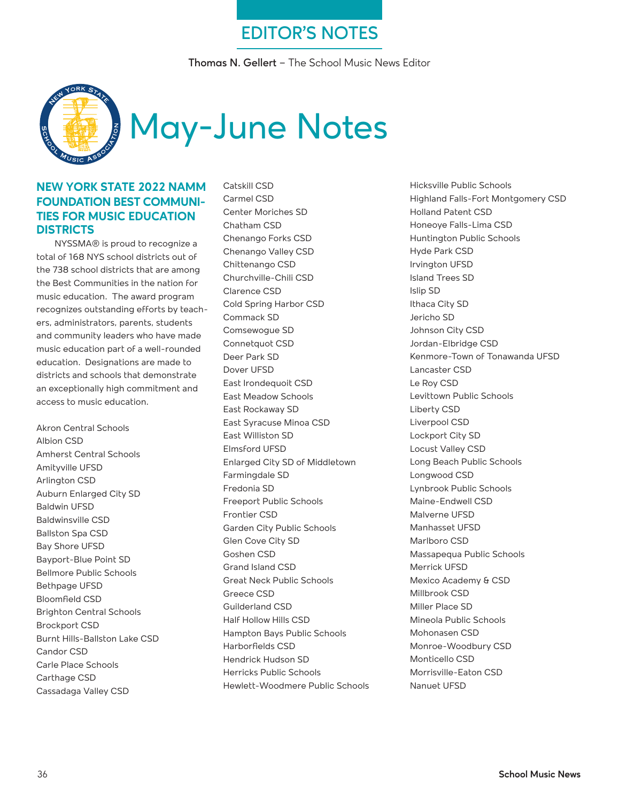# **EDITOR'S NOTES**

**Thomas N. Gellert** – The School Music News Editor



#### **NEW YORK STATE 2022 NAMM FOUNDATION BEST COMMUNI-TIES FOR MUSIC EDUCATION DISTRICTS**

NYSSMA® is proud to recognize a total of 168 NYS school districts out of the 738 school districts that are among the Best Communities in the nation for music education. The award program recognizes outstanding efforts by teachers, administrators, parents, students and community leaders who have made music education part of a well-rounded education. Designations are made to districts and schools that demonstrate an exceptionally high commitment and access to music education.

Akron Central Schools Albion CSD Amherst Central Schools Amityville UFSD Arlington CSD Auburn Enlarged City SD Baldwin UFSD Baldwinsville CSD Ballston Spa CSD Bay Shore UFSD Bayport-Blue Point SD Bellmore Public Schools Bethpage UFSD Bloomfield CSD Brighton Central Schools Brockport CSD Burnt Hills-Ballston Lake CSD Candor CSD Carle Place Schools Carthage CSD Cassadaga Valley CSD

Catskill CSD Carmel CSD Center Moriches SD Chatham CSD Chenango Forks CSD Chenango Valley CSD Chittenango CSD Churchville-Chili CSD Clarence CSD Cold Spring Harbor CSD Commack SD Comsewogue SD Connetquot CSD Deer Park SD Dover UFSD East Irondequoit CSD East Meadow Schools East Rockaway SD East Syracuse Minoa CSD East Williston SD Elmsford UFSD Enlarged City SD of Middletown Farmingdale SD Fredonia SD Freeport Public Schools Frontier CSD Garden City Public Schools Glen Cove City SD Goshen CSD Grand Island CSD Great Neck Public Schools Greece CSD Guilderland CSD Half Hollow Hills CSD Hampton Bays Public Schools Harborfields CSD Hendrick Hudson SD Herricks Public Schools Hewlett-Woodmere Public Schools Hicksville Public Schools Highland Falls-Fort Montgomery CSD Holland Patent CSD Honeoye Falls-Lima CSD Huntington Public Schools Hyde Park CSD Irvington UFSD Island Trees SD Islip SD Ithaca City SD Jericho SD Johnson City CSD Jordan-Elbridge CSD Kenmore-Town of Tonawanda UFSD Lancaster CSD Le Roy CSD Levittown Public Schools Liberty CSD Liverpool CSD Lockport City SD Locust Valley CSD Long Beach Public Schools Longwood CSD Lynbrook Public Schools Maine-Endwell CSD Malverne UFSD Manhasset UFSD Marlboro CSD Massapequa Public Schools Merrick UFSD Mexico Academy & CSD Millbrook CSD Miller Place SD Mineola Public Schools Mohonasen CSD Monroe-Woodbury CSD Monticello CSD Morrisville-Eaton CSD Nanuet UFSD